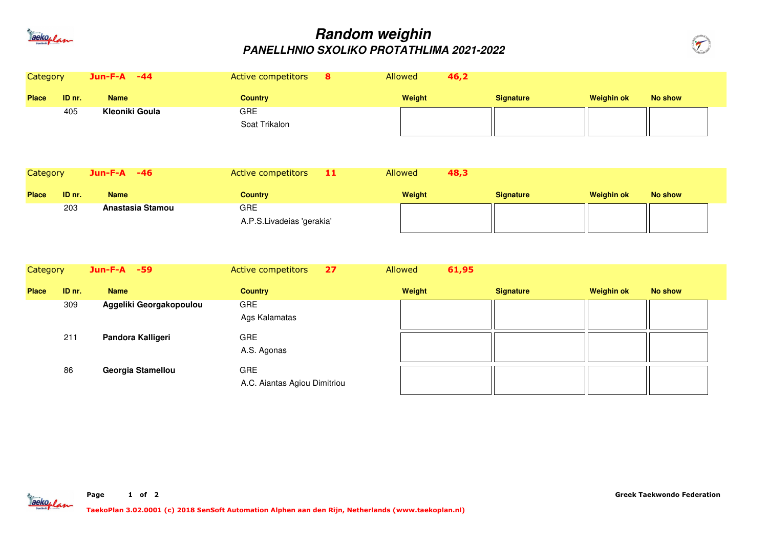

## **Random weighinPANELLHNIO SXOLIKO PROTATHLIMA 2021-2022**



| Category     |        | Jun-F-A -44           |                         | Active competitors                         | 8  | Allowed | 46,2  |                  |                   |                |
|--------------|--------|-----------------------|-------------------------|--------------------------------------------|----|---------|-------|------------------|-------------------|----------------|
| <b>Place</b> | ID nr. | <b>Name</b>           |                         | <b>Country</b>                             |    | Weight  |       | <b>Signature</b> | <b>Weighin ok</b> | <b>No show</b> |
|              | 405    | <b>Kleoniki Goula</b> |                         | <b>GRE</b><br>Soat Trikalon                |    |         |       |                  |                   |                |
| Category     |        | Jun-F-A -46           |                         | Active competitors                         | 11 | Allowed | 48,3  |                  |                   |                |
| <b>Place</b> | ID nr. | <b>Name</b>           |                         | <b>Country</b>                             |    | Weight  |       | <b>Signature</b> | <b>Weighin ok</b> | <b>No show</b> |
|              | 203    |                       | Anastasia Stamou        | <b>GRE</b><br>A.P.S.Livadeias 'gerakia'    |    |         |       |                  |                   |                |
| Category     |        | Jun-F-A -59           |                         | Active competitors                         | 27 | Allowed | 61,95 |                  |                   |                |
| <b>Place</b> | ID nr. | <b>Name</b>           |                         | <b>Country</b>                             |    | Weight  |       | <b>Signature</b> | <b>Weighin ok</b> | <b>No show</b> |
|              | 309    |                       | Aggeliki Georgakopoulou | <b>GRE</b><br>Ags Kalamatas                |    |         |       |                  |                   |                |
|              | 211    |                       | Pandora Kalligeri       | GRE<br>A.S. Agonas                         |    |         |       |                  |                   |                |
|              | 86     |                       | Georgia Stamellou       | <b>GRE</b><br>A.C. Aiantas Agiou Dimitriou |    |         |       |                  |                   |                |



**of <sup>2</sup>**